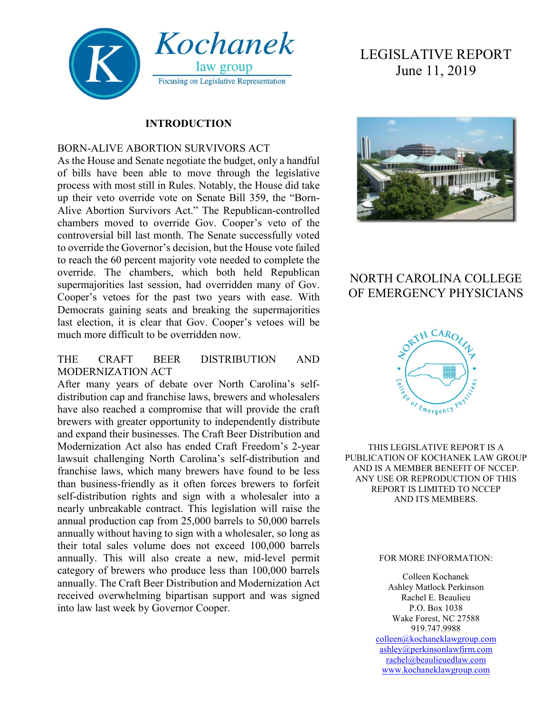

#### **INTRODUCTION**

#### BORN-ALIVE ABORTION SURVIVORS ACT

As the House and Senate negotiate the budget, only a handful of bills have been able to move through the legislative process with most still in Rules. Notably, the House did take up their veto override vote on Senate Bill 359, the "Born-Alive Abortion Survivors Act." The Republican-controlled chambers moved to override Gov. Cooper's veto of the controversial bill last month. The Senate successfully voted to override the Governor's decision, but the House vote failed to reach the 60 percent majority vote needed to complete the override. The chambers, which both held Republican supermajorities last session, had overridden many of Gov. Cooper's vetoes for the past two years with ease. With Democrats gaining seats and breaking the supermajorities last election, it is clear that Gov. Cooper's vetoes will be much more difficult to be overridden now.

#### THE CRAFT BEER DISTRIBUTION AND MODERNIZATION ACT

After many years of debate over North Carolina's selfdistribution cap and franchise laws, brewers and wholesalers have also reached a compromise that will provide the craft brewers with greater opportunity to independently distribute and expand their businesses. The Craft Beer Distribution and Modernization Act also has ended Craft Freedom's 2-year lawsuit challenging North Carolina's self-distribution and franchise laws, which many brewers have found to be less than business-friendly as it often forces brewers to forfeit self-distribution rights and sign with a wholesaler into a nearly unbreakable contract. This legislation will raise the annual production cap from 25,000 barrels to 50,000 barrels annually without having to sign with a wholesaler, so long as their total sales volume does not exceed 100,000 barrels annually. This will also create a new, mid-level permit category of brewers who produce less than 100,000 barrels annually. The Craft Beer Distribution and Modernization Act received overwhelming bipartisan support and was signed into law last week by Governor Cooper.

# LEGISLATIVE REPORT June 11, 2019



## NORTH CAROLINA COLLEGE OF EMERGENCY PHYSICIANS



THIS LEGISLATIVE REPORT IS A PUBLICATION OF KOCHANEK LAW GROUP AND IS A MEMBER BENEFIT OF NCCEP. ANY USE OR REPRODUCTION OF THIS REPORT IS LIMITED TO NCCEP AND ITS MEMBERS.

#### FOR MORE INFORMATION:

Colleen Kochanek Ashley Matlock Perkinson Rachel E. Beaulieu P.O. Box 1038 Wake Forest, NC 27588 919.747.9988 [colleen@kochaneklawgroup.com](mailto:colleen@kochaneklawgroup.com) [ashley@perkinsonlawfirm.com](mailto:ashley@perkinsonlawfirm.com) [rachel@beaulieuedlaw.com](mailto:rachel@beaulieuedlaw.com) [www.kochaneklawgroup.com](http://www.kochaneklawgroup.com/)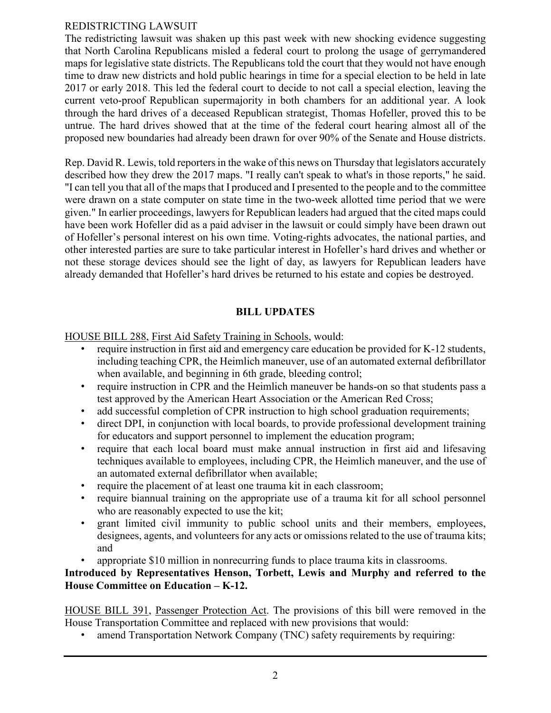#### REDISTRICTING LAWSUIT

The redistricting lawsuit was shaken up this past week with new shocking evidence suggesting that North Carolina Republicans misled a federal court to prolong the usage of gerrymandered maps for legislative state districts. The Republicans told the court that they would not have enough time to draw new districts and hold public hearings in time for a special election to be held in late 2017 or early 2018. This led the federal court to decide to not call a special election, leaving the current veto-proof Republican supermajority in both chambers for an additional year. A look through the hard drives of a deceased Republican strategist, Thomas Hofeller, proved this to be untrue. The hard drives showed that at the time of the federal court hearing almost all of the proposed new boundaries had already been drawn for over 90% of the Senate and House districts.

Rep. David R. Lewis, told reporters in the wake of this news on Thursday that legislators accurately described how they drew the 2017 maps. "I really can't speak to what's in those reports," he said. "I can tell you that all of the maps that I produced and I presented to the people and to the committee were drawn on a state computer on state time in the two-week allotted time period that we were given." In earlier proceedings, lawyers for Republican leaders had argued that the cited maps could have been work Hofeller did as a paid adviser in the lawsuit or could simply have been drawn out of Hofeller's personal interest on his own time. Voting-rights advocates, the national parties, and other interested parties are sure to take particular interest in Hofeller's hard drives and whether or not these storage devices should see the light of day, as lawyers for Republican leaders have already demanded that Hofeller's hard drives be returned to his estate and copies be destroyed.

#### **BILL UPDATES**

HOUSE BILL 288, First Aid Safety Training in Schools, would:

- require instruction in first aid and emergency care education be provided for K-12 students, including teaching CPR, the Heimlich maneuver, use of an automated external defibrillator when available, and beginning in 6th grade, bleeding control;
- require instruction in CPR and the Heimlich maneuver be hands-on so that students pass a test approved by the American Heart Association or the American Red Cross;
- add successful completion of CPR instruction to high school graduation requirements;
- direct DPI, in conjunction with local boards, to provide professional development training for educators and support personnel to implement the education program;
- require that each local board must make annual instruction in first aid and lifesaving techniques available to employees, including CPR, the Heimlich maneuver, and the use of an automated external defibrillator when available;
- require the placement of at least one trauma kit in each classroom;
- require biannual training on the appropriate use of a trauma kit for all school personnel who are reasonably expected to use the kit:
- grant limited civil immunity to public school units and their members, employees, designees, agents, and volunteers for any acts or omissions related to the use of trauma kits; and
- appropriate \$10 million in nonrecurring funds to place trauma kits in classrooms.

#### **Introduced by Representatives Henson, Torbett, Lewis and Murphy and referred to the House Committee on Education – K-12.**

HOUSE BILL 391, Passenger Protection Act. The provisions of this bill were removed in the House Transportation Committee and replaced with new provisions that would:

• amend Transportation Network Company (TNC) safety requirements by requiring: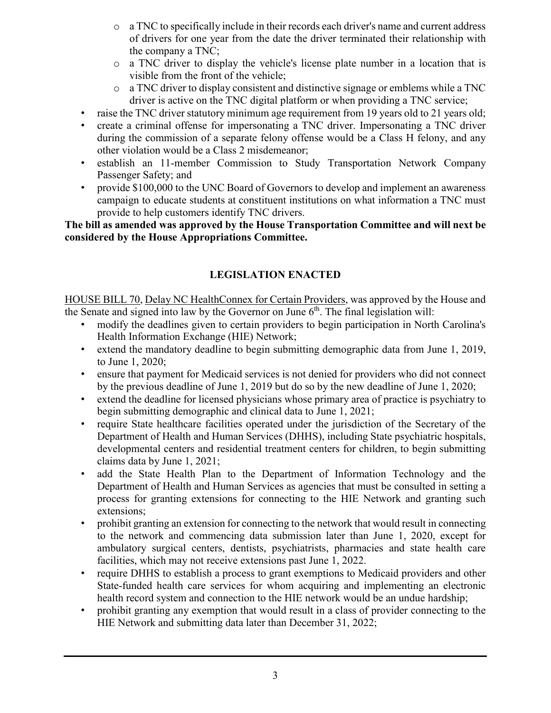- $\circ$  a TNC to specifically include in their records each driver's name and current address of drivers for one year from the date the driver terminated their relationship with the company a TNC;
- o a TNC driver to display the vehicle's license plate number in a location that is visible from the front of the vehicle;
- o a TNC driver to display consistent and distinctive signage or emblems while a TNC driver is active on the TNC digital platform or when providing a TNC service;
- raise the TNC driver statutory minimum age requirement from 19 years old to 21 years old;
- create a criminal offense for impersonating a TNC driver. Impersonating a TNC driver during the commission of a separate felony offense would be a Class H felony, and any other violation would be a Class 2 misdemeanor;
- establish an 11-member Commission to Study Transportation Network Company Passenger Safety; and
- provide \$100,000 to the UNC Board of Governors to develop and implement an awareness campaign to educate students at constituent institutions on what information a TNC must provide to help customers identify TNC drivers.

**The bill as amended was approved by the House Transportation Committee and will next be considered by the House Appropriations Committee.**

### **LEGISLATION ENACTED**

HOUSE BILL 70, Delay NC HealthConnex for Certain Providers, was approved by the House and the Senate and signed into law by the Governor on June  $6<sup>th</sup>$ . The final legislation will:

- modify the deadlines given to certain providers to begin participation in North Carolina's Health Information Exchange (HIE) Network;
- extend the mandatory deadline to begin submitting demographic data from June 1, 2019, to June 1, 2020;
- ensure that payment for Medicaid services is not denied for providers who did not connect by the previous deadline of June 1, 2019 but do so by the new deadline of June 1, 2020;
- extend the deadline for licensed physicians whose primary area of practice is psychiatry to begin submitting demographic and clinical data to June 1, 2021;
- require State healthcare facilities operated under the jurisdiction of the Secretary of the Department of Health and Human Services (DHHS), including State psychiatric hospitals, developmental centers and residential treatment centers for children, to begin submitting claims data by June 1, 2021;
- add the State Health Plan to the Department of Information Technology and the Department of Health and Human Services as agencies that must be consulted in setting a process for granting extensions for connecting to the HIE Network and granting such extensions;
- prohibit granting an extension for connecting to the network that would result in connecting to the network and commencing data submission later than June 1, 2020, except for ambulatory surgical centers, dentists, psychiatrists, pharmacies and state health care facilities, which may not receive extensions past June 1, 2022.
- require DHHS to establish a process to grant exemptions to Medicaid providers and other State-funded health care services for whom acquiring and implementing an electronic health record system and connection to the HIE network would be an undue hardship;
- prohibit granting any exemption that would result in a class of provider connecting to the HIE Network and submitting data later than December 31, 2022;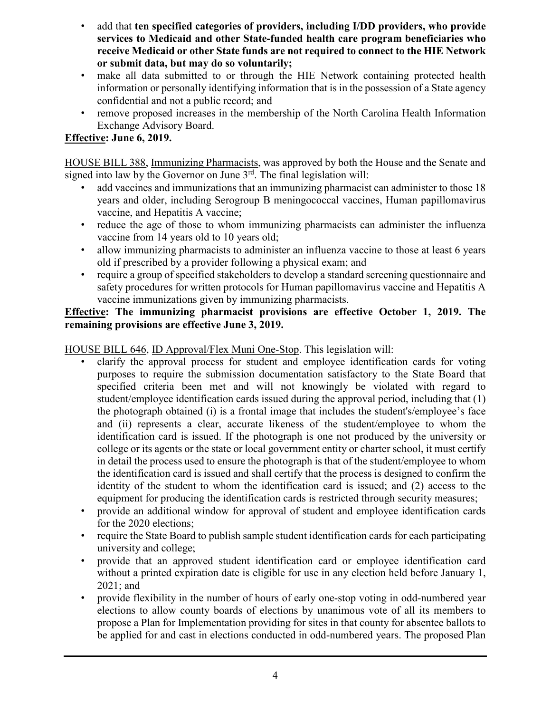- add that **ten specified categories of providers, including I/DD providers, who provide services to Medicaid and other State-funded health care program beneficiaries who receive Medicaid or other State funds are not required to connect to the HIE Network or submit data, but may do so voluntarily;**
- make all data submitted to or through the HIE Network containing protected health information or personally identifying information that is in the possession of a State agency confidential and not a public record; and
- remove proposed increases in the membership of the North Carolina Health Information Exchange Advisory Board.

### **Effective: June 6, 2019.**

HOUSE BILL 388, Immunizing Pharmacists, was approved by both the House and the Senate and signed into law by the Governor on June  $3<sup>rd</sup>$ . The final legislation will:

- add vaccines and immunizations that an immunizing pharmacist can administer to those 18 years and older, including Serogroup B meningococcal vaccines, Human papillomavirus vaccine, and Hepatitis A vaccine;
- reduce the age of those to whom immunizing pharmacists can administer the influenza vaccine from 14 years old to 10 years old;
- allow immunizing pharmacists to administer an influenza vaccine to those at least 6 years old if prescribed by a provider following a physical exam; and
- require a group of specified stakeholders to develop a standard screening questionnaire and safety procedures for written protocols for Human papillomavirus vaccine and Hepatitis A vaccine immunizations given by immunizing pharmacists.

#### **Effective: The immunizing pharmacist provisions are effective October 1, 2019. The remaining provisions are effective June 3, 2019.**

HOUSE BILL 646, ID Approval/Flex Muni One-Stop. This legislation will:

- clarify the approval process for student and employee identification cards for voting purposes to require the submission documentation satisfactory to the State Board that specified criteria been met and will not knowingly be violated with regard to student/employee identification cards issued during the approval period, including that (1) the photograph obtained (i) is a frontal image that includes the student's/employee's face and (ii) represents a clear, accurate likeness of the student/employee to whom the identification card is issued. If the photograph is one not produced by the university or college or its agents or the state or local government entity or charter school, it must certify in detail the process used to ensure the photograph is that of the student/employee to whom the identification card is issued and shall certify that the process is designed to confirm the identity of the student to whom the identification card is issued; and (2) access to the equipment for producing the identification cards is restricted through security measures;
- provide an additional window for approval of student and employee identification cards for the 2020 elections;
- require the State Board to publish sample student identification cards for each participating university and college;
- provide that an approved student identification card or employee identification card without a printed expiration date is eligible for use in any election held before January 1, 2021; and
- provide flexibility in the number of hours of early one-stop voting in odd-numbered year elections to allow county boards of elections by unanimous vote of all its members to propose a Plan for Implementation providing for sites in that county for absentee ballots to be applied for and cast in elections conducted in odd-numbered years. The proposed Plan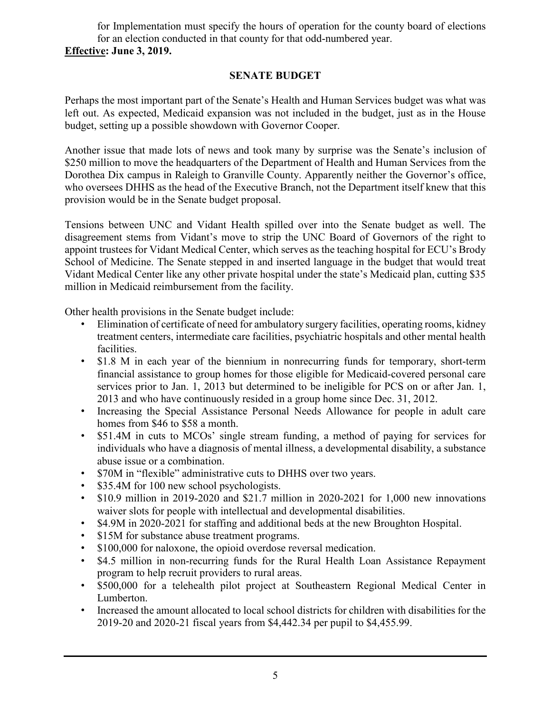for Implementation must specify the hours of operation for the county board of elections for an election conducted in that county for that odd-numbered year. **Effective: June 3, 2019.**

#### **SENATE BUDGET**

Perhaps the most important part of the Senate's Health and Human Services budget was what was left out. As expected, Medicaid expansion was not included in the budget, just as in the House budget, setting up a possible showdown with Governor Cooper.

Another issue that made lots of news and took many by surprise was the Senate's inclusion of \$250 million to move the headquarters of the Department of Health and Human Services from the Dorothea Dix campus in Raleigh to Granville County. Apparently neither the Governor's office, who oversees DHHS as the head of the Executive Branch, not the Department itself knew that this provision would be in the Senate budget proposal.

Tensions between UNC and Vidant Health spilled over into the Senate budget as well. The disagreement stems from Vidant's move to strip the UNC Board of Governors of the right to appoint trustees for Vidant Medical Center, which serves as the teaching hospital for ECU's Brody School of Medicine. The Senate stepped in and inserted language in the budget that would treat Vidant Medical Center like any other private hospital under the state's Medicaid plan, cutting \$35 million in Medicaid reimbursement from the facility.

Other health provisions in the Senate budget include:

- Elimination of certificate of need for ambulatory surgery facilities, operating rooms, kidney treatment centers, intermediate care facilities, psychiatric hospitals and other mental health facilities.
- \$1.8 M in each year of the biennium in nonrecurring funds for temporary, short-term financial assistance to group homes for those eligible for Medicaid-covered personal care services prior to Jan. 1, 2013 but determined to be ineligible for PCS on or after Jan. 1, 2013 and who have continuously resided in a group home since Dec. 31, 2012.
- Increasing the Special Assistance Personal Needs Allowance for people in adult care homes from \$46 to \$58 a month.
- \$51.4M in cuts to MCOs' single stream funding, a method of paying for services for individuals who have a diagnosis of mental illness, a developmental disability, a substance abuse issue or a combination.
- \$70M in "flexible" administrative cuts to DHHS over two years.
- \$35.4M for 100 new school psychologists.
- \$10.9 million in 2019-2020 and \$21.7 million in 2020-2021 for 1,000 new innovations waiver slots for people with intellectual and developmental disabilities.
- \$4.9M in 2020-2021 for staffing and additional beds at the new Broughton Hospital.
- \$15M for substance abuse treatment programs.
- \$100,000 for naloxone, the opioid overdose reversal medication.
- \$4.5 million in non-recurring funds for the Rural Health Loan Assistance Repayment program to help recruit providers to rural areas.
- \$500,000 for a telehealth pilot project at Southeastern Regional Medical Center in Lumberton.
- Increased the amount allocated to local school districts for children with disabilities for the 2019-20 and 2020-21 fiscal years from \$4,442.34 per pupil to \$4,455.99.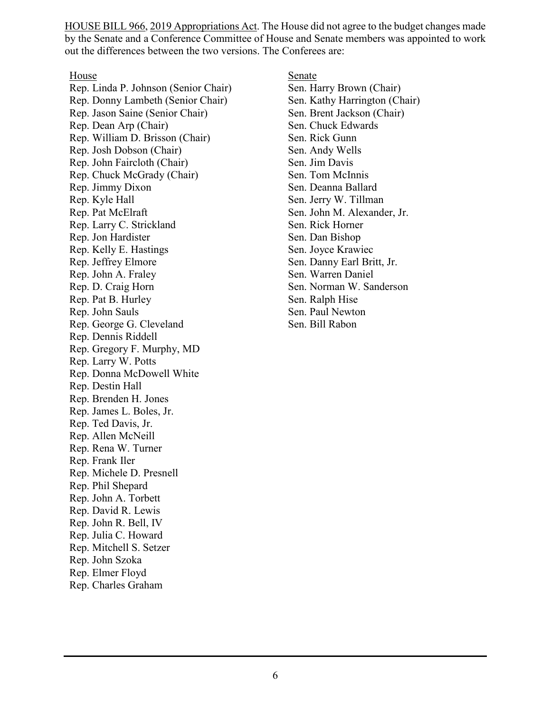HOUSE BILL 966, 2019 Appropriations Act. The House did not agree to the budget changes made by the Senate and a Conference Committee of House and Senate members was appointed to work out the differences between the two versions. The Conferees are:

House

[Rep. Linda P. Johnson \(Senior Chair\)](https://www.ncleg.gov/Members/Biography/H/292) [Rep. Donny Lambeth \(Senior Chair\)](https://www.ncleg.gov/Members/Biography/H/646) [Rep. Jason Saine \(Senior Chair\)](https://www.ncleg.gov/Members/Biography/H/632) [Rep. Dean Arp \(Chair\)](https://www.ncleg.gov/Members/Biography/H/640) [Rep. William D. Brisson \(Chair\)](https://www.ncleg.gov/Members/Biography/H/558) [Rep. Josh Dobson \(Chair\)](https://www.ncleg.gov/Members/Biography/H/681) [Rep. John Faircloth \(Chair\)](https://www.ncleg.gov/Members/Biography/H/603) [Rep. Chuck McGrady \(Chair\)](https://www.ncleg.gov/Members/Biography/H/605) [Rep. Jimmy Dixon](https://www.ncleg.gov/Members/Biography/H/613) [Rep. Kyle Hall](https://www.ncleg.gov/Members/Biography/H/704) [Rep. Pat McElraft](https://www.ncleg.gov/Members/Biography/H/570) [Rep. Larry C. Strickland](https://www.ncleg.gov/Members/Biography/H/727) [Rep. Jon Hardister](https://www.ncleg.gov/Members/Biography/H/645) [Rep. Kelly E. Hastings](https://www.ncleg.gov/Members/Biography/H/618) [Rep. Jeffrey Elmore](https://www.ncleg.gov/Members/Biography/H/643) [Rep. John A. Fraley](https://www.ncleg.gov/Members/Biography/H/686) [Rep. D. Craig Horn](https://www.ncleg.gov/Members/Biography/H/604) [Rep. Pat B. Hurley](https://www.ncleg.gov/Members/Biography/H/560) [Rep. John Sauls](https://www.ncleg.gov/Members/Biography/H/393) [Rep. George G. Cleveland](https://www.ncleg.gov/Members/Biography/H/476) [Rep. Dennis Riddell](https://www.ncleg.gov/Members/Biography/H/665) [Rep. Gregory F. Murphy, MD](https://www.ncleg.gov/Members/Biography/H/703) [Rep. Larry W. Potts](https://www.ncleg.gov/Members/Biography/H/724) [Rep. Donna McDowell White](https://www.ncleg.gov/Members/Biography/H/728) [Rep. Destin Hall](https://www.ncleg.gov/Members/Biography/H/719) [Rep. Brenden H. Jones](https://www.ncleg.gov/Members/Biography/H/723) [Rep. James L. Boles, Jr.](https://www.ncleg.gov/Members/Biography/H/581) [Rep. Ted Davis, Jr.](https://www.ncleg.gov/Members/Biography/H/637) [Rep. Allen McNeill](https://www.ncleg.gov/Members/Biography/H/635) [Rep. Rena W. Turner](https://www.ncleg.gov/Members/Biography/H/658) [Rep. Frank Iler](https://www.ncleg.gov/Members/Biography/H/598) [Rep. Michele D. Presnell](https://www.ncleg.gov/Members/Biography/H/670) [Rep. Phil Shepard](https://www.ncleg.gov/Members/Biography/H/628) [Rep. John A. Torbett](https://www.ncleg.gov/Members/Biography/H/606) [Rep. David R. Lewis](https://www.ncleg.gov/Members/Biography/H/389) [Rep. John R. Bell, IV](https://www.ncleg.gov/Members/Biography/H/661) [Rep. Julia C. Howard](https://www.ncleg.gov/Members/Biography/H/53) [Rep. Mitchell S. Setzer](https://www.ncleg.gov/Members/Biography/H/149) [Rep. John Szoka](https://www.ncleg.gov/Members/Biography/H/662) [Rep. Elmer Floyd](https://www.ncleg.gov/Members/Biography/H/583) [Rep. Charles Graham](https://www.ncleg.gov/Members/Biography/H/615)

Senate

[Sen. Harry Brown \(Chair\)](https://www.ncleg.gov/Members/Biography/S/139) [Sen. Kathy Harrington \(Chair\)](https://www.ncleg.gov/Members/Biography/S/283) [Sen. Brent Jackson \(Chair\)](https://www.ncleg.gov/Members/Biography/S/281) [Sen. Chuck Edwards](https://www.ncleg.gov/Members/Biography/S/397) [Sen. Rick Gunn](https://www.ncleg.gov/Members/Biography/S/276) [Sen. Andy Wells](https://www.ncleg.gov/Members/Biography/S/388) [Sen. Jim Davis](https://www.ncleg.gov/Members/Biography/S/357) [Sen. Tom McInnis](https://www.ncleg.gov/Members/Biography/S/389) [Sen. Deanna Ballard](https://www.ncleg.gov/Members/Biography/S/396) [Sen. Jerry W. Tillman](https://www.ncleg.gov/Members/Biography/S/99) [Sen. John M. Alexander, Jr.](https://www.ncleg.gov/Members/Biography/S/392) [Sen. Rick Horner](https://www.ncleg.gov/Members/Biography/S/400) [Sen. Dan Bishop](https://www.ncleg.gov/Members/Biography/S/398) [Sen. Joyce Krawiec](https://www.ncleg.gov/Members/Biography/S/384) [Sen. Danny Earl Britt, Jr.](https://www.ncleg.gov/Members/Biography/S/399) [Sen. Warren Daniel](https://www.ncleg.gov/Members/Biography/S/295) [Sen. Norman W. Sanderson](https://www.ncleg.gov/Members/Biography/S/375) [Sen. Ralph Hise](https://www.ncleg.gov/Members/Biography/S/298) [Sen. Paul Newton](https://www.ncleg.gov/Members/Biography/S/402) [Sen. Bill Rabon](https://www.ncleg.gov/Members/Biography/S/303)